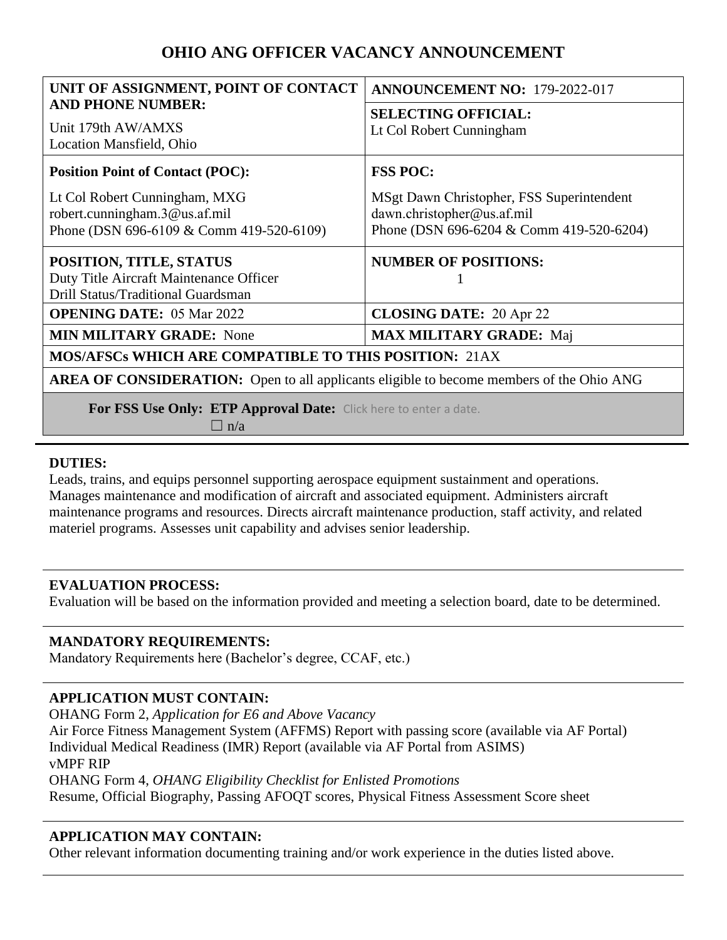# **OHIO ANG OFFICER VACANCY ANNOUNCEMENT**

| UNIT OF ASSIGNMENT, POINT OF CONTACT                                                            | <b>ANNOUNCEMENT NO: 179-2022-017</b>      |
|-------------------------------------------------------------------------------------------------|-------------------------------------------|
| <b>AND PHONE NUMBER:</b>                                                                        | <b>SELECTING OFFICIAL:</b>                |
| Unit 179th AW/AMXS                                                                              | Lt Col Robert Cunningham                  |
| Location Mansfield, Ohio                                                                        |                                           |
| <b>Position Point of Contact (POC):</b>                                                         | <b>FSS POC:</b>                           |
| Lt Col Robert Cunningham, MXG                                                                   | MSgt Dawn Christopher, FSS Superintendent |
| robert.cunningham.3@us.af.mil                                                                   | dawn.christopher@us.af.mil                |
| Phone (DSN 696-6109 & Comm 419-520-6109)                                                        | Phone (DSN 696-6204 & Comm 419-520-6204)  |
| POSITION, TITLE, STATUS                                                                         | <b>NUMBER OF POSITIONS:</b>               |
| Duty Title Aircraft Maintenance Officer                                                         |                                           |
| Drill Status/Traditional Guardsman                                                              |                                           |
| <b>OPENING DATE: 05 Mar 2022</b>                                                                | <b>CLOSING DATE: 20 Apr 22</b>            |
| <b>MIN MILITARY GRADE: None</b>                                                                 | <b>MAX MILITARY GRADE: Maj</b>            |
| <b>MOS/AFSCs WHICH ARE COMPATIBLE TO THIS POSITION: 21AX</b>                                    |                                           |
| <b>AREA OF CONSIDERATION:</b> Open to all applicants eligible to become members of the Ohio ANG |                                           |
| For FSS Use Only: ETP Approval Date: Click here to enter a date.                                |                                           |
| $\Box$ n/a                                                                                      |                                           |

# **DUTIES:**

Leads, trains, and equips personnel supporting aerospace equipment sustainment and operations. Manages maintenance and modification of aircraft and associated equipment. Administers aircraft maintenance programs and resources. Directs aircraft maintenance production, staff activity, and related materiel programs. Assesses unit capability and advises senior leadership.

# **EVALUATION PROCESS:**

Evaluation will be based on the information provided and meeting a selection board, date to be determined.

# **MANDATORY REQUIREMENTS:**

Mandatory Requirements here (Bachelor's degree, CCAF, etc.)

# **APPLICATION MUST CONTAIN:**

OHANG Form 2, *Application for E6 and Above Vacancy* Air Force Fitness Management System (AFFMS) Report with passing score (available via AF Portal) Individual Medical Readiness (IMR) Report (available via AF Portal from ASIMS) vMPF RIP OHANG Form 4, *OHANG Eligibility Checklist for Enlisted Promotions* Resume, Official Biography, Passing AFOQT scores, Physical Fitness Assessment Score sheet

# **APPLICATION MAY CONTAIN:**

Other relevant information documenting training and/or work experience in the duties listed above.